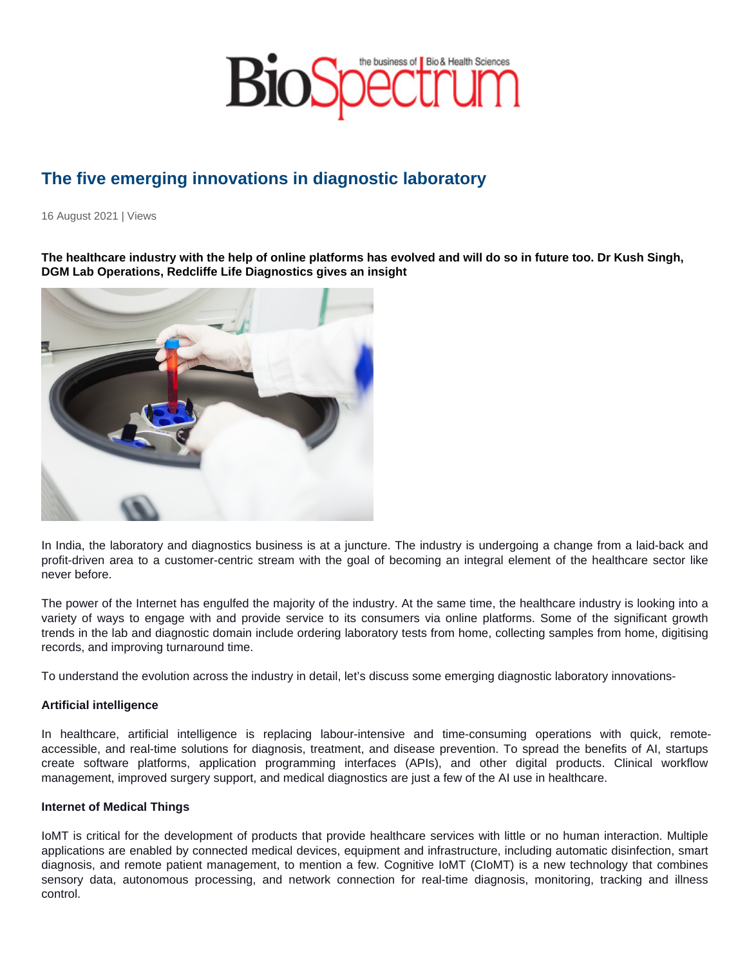# The five emerging innovations in diagnostic laboratory

16 August 2021 | Views

The healthcare industry with the help of online platforms has evolved and will do so in future too. Dr Kush Singh, DGM Lab Operations, Redcliffe Life Diagnostics gives an insight

In India, the laboratory and diagnostics business is at a juncture. The industry is undergoing a change from a laid-back and profit-driven area to a customer-centric stream with the goal of becoming an integral element of the healthcare sector like never before.

The power of the Internet has engulfed the majority of the industry. At the same time, the healthcare industry is looking into a variety of ways to engage with and provide service to its consumers via online platforms. Some of the significant growth trends in the lab and diagnostic domain include ordering laboratory tests from home, collecting samples from home, digitising records, and improving turnaround time.

To understand the evolution across the industry in detail, let's discuss some emerging diagnostic laboratory innovations-

#### Artificial intelligence

In healthcare, artificial intelligence is replacing labour-intensive and time-consuming operations with quick, remoteaccessible, and real-time solutions for diagnosis, treatment, and disease prevention. To spread the benefits of AI, startups create software platforms, application programming interfaces (APIs), and other digital products. Clinical workflow management, improved surgery support, and medical diagnostics are just a few of the AI use in healthcare.

#### Internet of Medical Things

IoMT is critical for the development of products that provide healthcare services with little or no human interaction. Multiple applications are enabled by connected medical devices, equipment and infrastructure, including automatic disinfection, smart diagnosis, and remote patient management, to mention a few. Cognitive IoMT (CIoMT) is a new technology that combines sensory data, autonomous processing, and network connection for real-time diagnosis, monitoring, tracking and illness control.